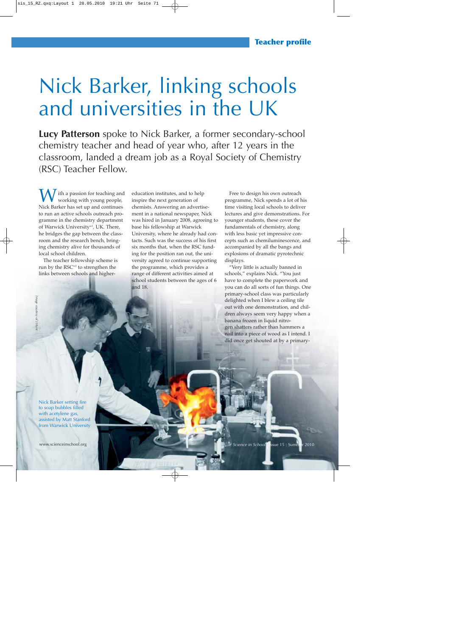# Nick Barker, linking schools and universities in the UK

**Lucy Patterson** spoke to Nick Barker, a former secondary-school chemistry teacher and head of year who, after 12 years in the classroom, landed a dream job as a Royal Society of Chemistry (RSC) Teacher Fellow.

 $\int$  ith a passion for teaching and working with young people, Nick Barker has set up and continues to run an active schools outreach programme in the chemistry department of Warwick University<sup>w1</sup>, UK. There, he bridges the gap between the classroom and the research bench, bringing chemistry alive for thousands of local school children.

The teacher fellowship scheme is run by the RSC<sup>w2</sup> to strengthen the links between schools and highereducation institutes, and to help inspire the next generation of chemists. Answering an advertisement in a national newspaper, Nick was hired in January 2008, agreeing to base his fellowship at Warwick University, where he already had contacts. Such was the success of his first six months that, when the RSC funding for the position ran out, the university agreed to continue supporting the programme, which provides a range of different activities aimed at school students between the ages of 6 and 18.

Free to design his own outreach programme, Nick spends a lot of his time visiting local schools to deliver lectures and give demonstrations. For younger students, these cover the fundamentals of chemistry, along with less basic yet impressive concepts such as chemiluminescence, and accompanied by all the bangs and explosions of dramatic pyrotechnic displays.

"Very little is actually banned in schools," explains Nick. "You just have to complete the paperwork and you can do all sorts of fun things. One primary-school class was particularly delighted when I blew a ceiling tile out with one demonstration, and children always seem very happy when a banana frozen in liquid nitrogen shatters rather than hammers a nail into a piece of wood as I intend. I did once get shouted at by a primary-

Nick Barker setting fire to soap bubbles filled with acetylene gas, assisted by Matt Stanford from Warwick University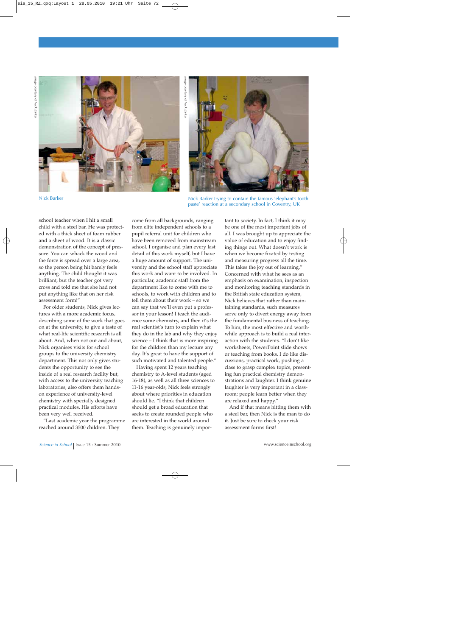

Image courtesy of Nick Barke *Image courtesy of Nick Barker*



Nick Barker

school teacher when I hit a small child with a steel bar. He was protected with a thick sheet of foam rubber and a sheet of wood. It is a classic demonstration of the concept of pressure. You can whack the wood and the force is spread over a large area, so the person being hit barely feels anything. The child thought it was brilliant, but the teacher got very cross and told me that she had not put anything like that on her risk assessment form!"

For older students, Nick gives lectures with a more academic focus, describing some of the work that goes on at the university, to give a taste of what real-life scientific research is all about. And, when not out and about, Nick organises visits for school groups to the university chemistry department. This not only gives students the opportunity to see the inside of a real research facility but, with access to the university teaching laboratories, also offers them handson experience of university-level chemistry with specially designed practical modules. His efforts have been very well received.

"Last academic year the programme reached around 3500 children. They

come from all backgrounds, ranging from elite independent schools to a pupil referral unit for children who have been removed from mainstream school. I organise and plan every last detail of this work myself, but I have a huge amount of support. The university and the school staff appreciate this work and want to be involved. In particular, academic staff from the department like to come with me to schools, to work with children and to tell them about their work – so we can say that we'll even put a professor in your lesson! I teach the audience some chemistry, and then it's the real scientist's turn to explain what they do in the lab and why they enjoy science – I think that is more inspiring for the children than my lecture any day. It's great to have the support of such motivated and talented people."

Having spent 12 years teaching chemistry to A-level students (aged 16-18), as well as all three sciences to 11-16 year-olds, Nick feels strongly about where priorities in education should lie. "I think that children should get a broad education that seeks to create rounded people who are interested in the world around them. Teaching is genuinely impor-

Nick Barker trying to contain the famous 'elephant's toothpaste' reaction at a secondary school in Coventry, UK

tant to society. In fact, I think it may be one of the most important jobs of all. I was brought up to appreciate the value of education and to enjoy finding things out. What doesn't work is when we become fixated by testing and measuring progress all the time. This takes the joy out of learning." Concerned with what he sees as an emphasis on examination, inspection and monitoring teaching standards in the British state education system, Nick believes that rather than maintaining standards, such measures serve only to divert energy away from the fundamental business of teaching. To him, the most effective and worthwhile approach is to build a real interaction with the students. "I don't like worksheets, PowerPoint slide shows or teaching from books. I do like discussions, practical work, pushing a class to grasp complex topics, presenting fun practical chemistry demonstrations and laughter. I think genuine laughter is very important in a classroom; people learn better when they are relaxed and happy."

And if that means hitting them with a steel bar, then Nick is the man to do it. Just be sure to check your risk assessment forms first!